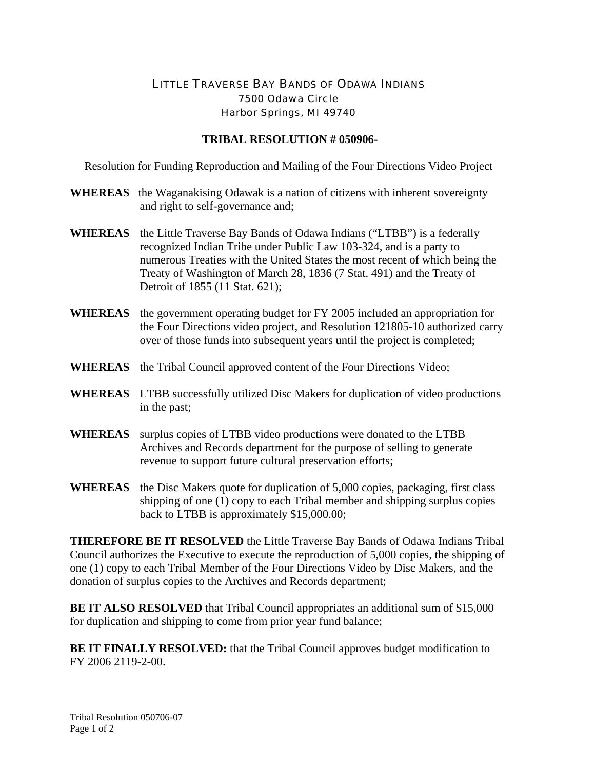## LITTLE TRAVERSE BAY BANDS OF ODAWA INDIANS 7500 Odawa Circle Harbor Springs, MI 49740

## **TRIBAL RESOLUTION # 050906-**

Resolution for Funding Reproduction and Mailing of the Four Directions Video Project

- **WHEREAS** the Waganakising Odawak is a nation of citizens with inherent sovereignty and right to self-governance and;
- **WHEREAS** the Little Traverse Bay Bands of Odawa Indians ("LTBB") is a federally recognized Indian Tribe under Public Law 103-324, and is a party to numerous Treaties with the United States the most recent of which being the Treaty of Washington of March 28, 1836 (7 Stat. 491) and the Treaty of Detroit of 1855 (11 Stat. 621);
- **WHEREAS** the government operating budget for FY 2005 included an appropriation for the Four Directions video project, and Resolution 121805-10 authorized carry over of those funds into subsequent years until the project is completed;
- **WHEREAS** the Tribal Council approved content of the Four Directions Video;
- **WHEREAS** LTBB successfully utilized Disc Makers for duplication of video productions in the past;
- **WHEREAS** surplus copies of LTBB video productions were donated to the LTBB Archives and Records department for the purpose of selling to generate revenue to support future cultural preservation efforts;
- **WHEREAS** the Disc Makers quote for duplication of 5,000 copies, packaging, first class shipping of one (1) copy to each Tribal member and shipping surplus copies back to LTBB is approximately \$15,000.00;

**THEREFORE BE IT RESOLVED** the Little Traverse Bay Bands of Odawa Indians Tribal Council authorizes the Executive to execute the reproduction of 5,000 copies, the shipping of one (1) copy to each Tribal Member of the Four Directions Video by Disc Makers, and the donation of surplus copies to the Archives and Records department;

**BE IT ALSO RESOLVED** that Tribal Council appropriates an additional sum of \$15,000 for duplication and shipping to come from prior year fund balance;

**BE IT FINALLY RESOLVED:** that the Tribal Council approves budget modification to FY 2006 2119-2-00.